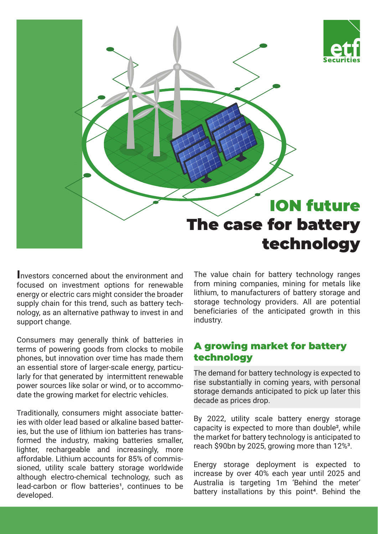

**I**nvestors concerned about the environment and focused on investment options for renewable energy or electric cars might consider the broader supply chain for this trend, such as battery technology, as an alternative pathway to invest in and support change.

Consumers may generally think of batteries in terms of powering goods from clocks to mobile phones, but innovation over time has made them an essential store of larger-scale energy, particularly for that generated by intermittent renewable power sources like solar or wind, or to accommodate the growing market for electric vehicles.

Traditionally, consumers might associate batteries with older lead based or alkaline based batteries, but the use of lithium ion batteries has transformed the industry, making batteries smaller, lighter, rechargeable and increasingly, more affordable. Lithium accounts for 85% of commissioned, utility scale battery storage worldwide although electro-chemical technology, such as lead-carbon or flow batteries<sup>1</sup>, continues to be developed.

The value chain for battery technology ranges from mining companies, mining for metals like lithium, to manufacturers of battery storage and storage technology providers. All are potential beneficiaries of the anticipated growth in this industry.

# A growing market for battery technology

The demand for battery technology is expected to rise substantially in coming years, with personal storage demands anticipated to pick up later this decade as prices drop.

By 2022, utility scale battery energy storage capacity is expected to more than double², while the market for battery technology is anticipated to reach \$90bn by 2025, growing more than 12%<sup>3</sup>.

Energy storage deployment is expected to increase by over 40% each year until 2025 and Australia is targeting 1m 'Behind the meter' battery installations by this point<sup>4</sup>. Behind the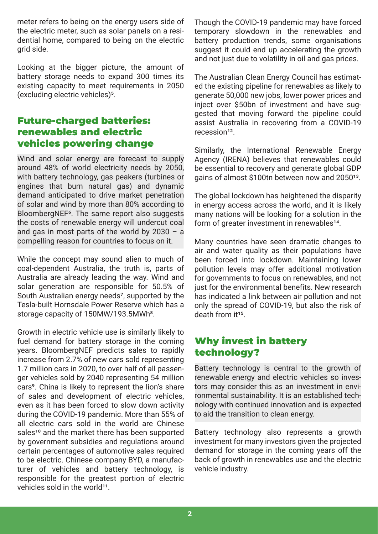meter refers to being on the energy users side of the electric meter, such as solar panels on a residential home, compared to being on the electric grid side.

Looking at the bigger picture, the amount of battery storage needs to expand 300 times its existing capacity to meet requirements in 2050 (excluding electric vehicles)5.

## Future-charged batteries: renewables and electric vehicles powering change

Wind and solar energy are forecast to supply around 48% of world electricity needs by 2050, with battery technology, gas peakers (turbines or engines that burn natural gas) and dynamic demand anticipated to drive market penetration of solar and wind by more than 80% according to BloombergNEF6. The same report also suggests the costs of renewable energy will undercut coal and gas in most parts of the world by 2030 – a compelling reason for countries to focus on it.

While the concept may sound alien to much of coal-dependent Australia, the truth is, parts of Australia are already leading the way. Wind and solar generation are responsible for 50.5% of South Australian energy needs7, supported by the Tesla-built Hornsdale Power Reserve which has a storage capacity of 150MW/193.5MWh<sup>8</sup>.

Growth in electric vehicle use is similarly likely to fuel demand for battery storage in the coming years. BloombergNEF predicts sales to rapidly increase from 2.7% of new cars sold representing 1.7 million cars in 2020, to over half of all passenger vehicles sold by 2040 representing 54 million cars<sup>9</sup>. China is likely to represent the lion's share of sales and development of electric vehicles, even as it has been forced to slow down activity during the COVID-19 pandemic. More than 55% of all electric cars sold in the world are Chinese sales<sup>10</sup> and the market there has been supported by government subsidies and regulations around certain percentages of automotive sales required to be electric. Chinese company BYD, a manufacturer of vehicles and battery technology, is responsible for the greatest portion of electric vehicles sold in the world<sup>11</sup>.

Though the COVID-19 pandemic may have forced temporary slowdown in the renewables and battery production trends, some organisations suggest it could end up accelerating the growth and not just due to volatility in oil and gas prices.

The Australian Clean Energy Council has estimated the existing pipeline for renewables as likely to generate 50,000 new jobs, lower power prices and inject over \$50bn of investment and have suggested that moving forward the pipeline could assist Australia in recovering from a COVID-19 recession<sup>12</sup>

Similarly, the International Renewable Energy Agency (IRENA) believes that renewables could be essential to recovery and generate global GDP gains of almost \$100tn between now and 2050<sup>13</sup>.

The global lockdown has heightened the disparity in energy access across the world, and it is likely many nations will be looking for a solution in the form of greater investment in renewables<sup>14</sup>.

Many countries have seen dramatic changes to air and water quality as their populations have been forced into lockdown. Maintaining lower pollution levels may offer additional motivation for governments to focus on renewables, and not just for the environmental benefits. New research has indicated a link between air pollution and not only the spread of COVID-19, but also the risk of  $death from it<sup>15</sup>$ 

# Why invest in battery technology?

Battery technology is central to the growth of renewable energy and electric vehicles so investors may consider this as an investment in environmental sustainability. It is an established technology with continued innovation and is expected to aid the transition to clean energy.

Battery technology also represents a growth investment for many investors given the projected demand for storage in the coming years off the back of growth in renewables use and the electric vehicle industry.